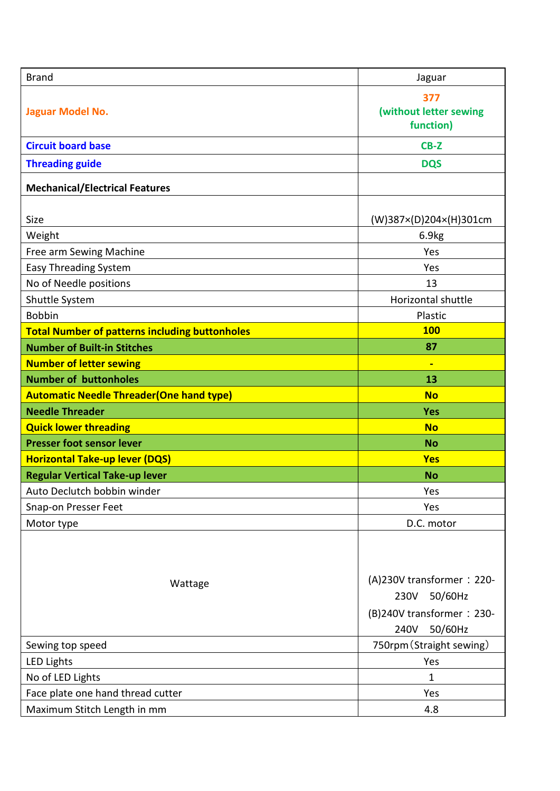| <b>Brand</b>                                          | Jaguar                                                                                       |
|-------------------------------------------------------|----------------------------------------------------------------------------------------------|
| Jaguar Model No.                                      | 377<br>(without letter sewing<br>function)                                                   |
| <b>Circuit board base</b>                             | CB-Z                                                                                         |
| <b>Threading guide</b>                                | <b>DQS</b>                                                                                   |
| <b>Mechanical/Electrical Features</b>                 |                                                                                              |
| Size                                                  | (W)387×(D)204×(H)301cm                                                                       |
| Weight                                                | 6.9kg                                                                                        |
| Free arm Sewing Machine                               | Yes                                                                                          |
| <b>Easy Threading System</b>                          | Yes                                                                                          |
| No of Needle positions                                | 13                                                                                           |
| Shuttle System                                        | Horizontal shuttle                                                                           |
| <b>Bobbin</b>                                         | Plastic                                                                                      |
| <b>Total Number of patterns including buttonholes</b> | <b>100</b>                                                                                   |
| <b>Number of Built-in Stitches</b>                    | 87                                                                                           |
| <b>Number of letter sewing</b>                        | $\blacksquare$                                                                               |
| <b>Number of buttonholes</b>                          | 13                                                                                           |
| <b>Automatic Needle Threader (One hand type)</b>      | <b>No</b>                                                                                    |
| <b>Needle Threader</b>                                | <b>Yes</b>                                                                                   |
| <b>Quick lower threading</b>                          | <b>No</b>                                                                                    |
| <b>Presser foot sensor lever</b>                      | <b>No</b>                                                                                    |
| <b>Horizontal Take-up lever (DQS)</b>                 | <b>Yes</b>                                                                                   |
| <b>Regular Vertical Take-up lever</b>                 | <b>No</b>                                                                                    |
| Auto Declutch bobbin winder                           | Yes                                                                                          |
| Snap-on Presser Feet                                  | Yes                                                                                          |
| Motor type                                            | D.C. motor                                                                                   |
| Wattage                                               | (A)230V transformer: 220-<br>50/60Hz<br>230V<br>(B)240V transformer: 230-<br>50/60Hz<br>240V |
| Sewing top speed                                      | 750rpm (Straight sewing)                                                                     |
| <b>LED Lights</b>                                     | Yes                                                                                          |
| No of LED Lights                                      | $\mathbf{1}$                                                                                 |
| Face plate one hand thread cutter                     | Yes                                                                                          |
| Maximum Stitch Length in mm                           | 4.8                                                                                          |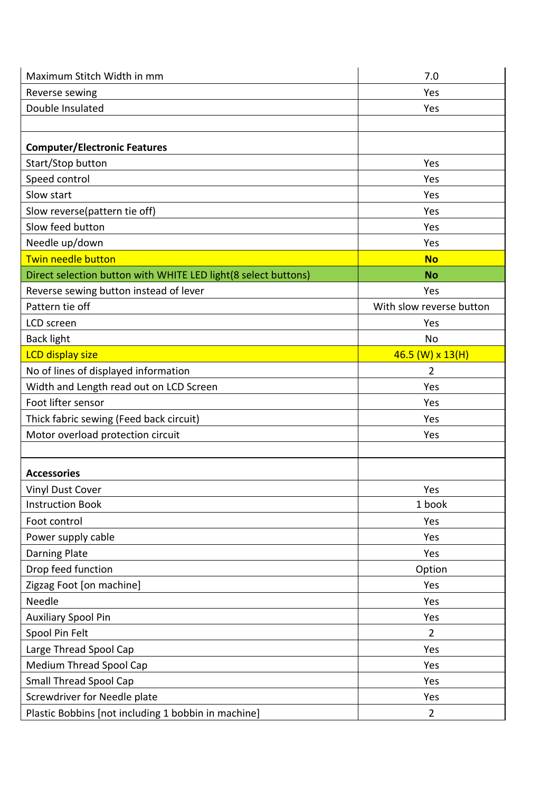| Maximum Stitch Width in mm                                     | 7.0                      |
|----------------------------------------------------------------|--------------------------|
| Reverse sewing                                                 | Yes                      |
| Double Insulated                                               | Yes                      |
|                                                                |                          |
| <b>Computer/Electronic Features</b>                            |                          |
| Start/Stop button                                              | Yes                      |
| Speed control                                                  | Yes                      |
| Slow start                                                     | Yes                      |
| Slow reverse(pattern tie off)                                  | Yes                      |
| Slow feed button                                               | Yes                      |
| Needle up/down                                                 | Yes                      |
| Twin needle button                                             | <b>No</b>                |
| Direct selection button with WHITE LED light(8 select buttons) | <b>No</b>                |
| Reverse sewing button instead of lever                         | Yes                      |
| Pattern tie off                                                | With slow reverse button |
| LCD screen                                                     | Yes                      |
| <b>Back light</b>                                              | No                       |
| <b>LCD display size</b>                                        | $46.5$ (W) x 13(H)       |
| No of lines of displayed information                           | $\overline{2}$           |
| Width and Length read out on LCD Screen                        | Yes                      |
| Foot lifter sensor                                             | Yes                      |
| Thick fabric sewing (Feed back circuit)                        | Yes                      |
| Motor overload protection circuit                              | Yes                      |
|                                                                |                          |
| <b>Accessories</b>                                             |                          |
| Vinyl Dust Cover                                               | Yes                      |
| <b>Instruction Book</b>                                        | 1 book                   |
| Foot control                                                   | Yes                      |
| Power supply cable                                             | Yes                      |
| <b>Darning Plate</b>                                           | Yes                      |
| Drop feed function                                             | Option                   |
| Zigzag Foot [on machine]                                       | Yes                      |
| Needle                                                         | Yes                      |
| <b>Auxiliary Spool Pin</b>                                     | Yes                      |
| Spool Pin Felt                                                 | $\overline{2}$           |
| Large Thread Spool Cap                                         | Yes                      |
| <b>Medium Thread Spool Cap</b>                                 | Yes                      |
| <b>Small Thread Spool Cap</b>                                  | Yes                      |
| Screwdriver for Needle plate                                   | Yes                      |
| Plastic Bobbins [not including 1 bobbin in machine]            | $\overline{2}$           |